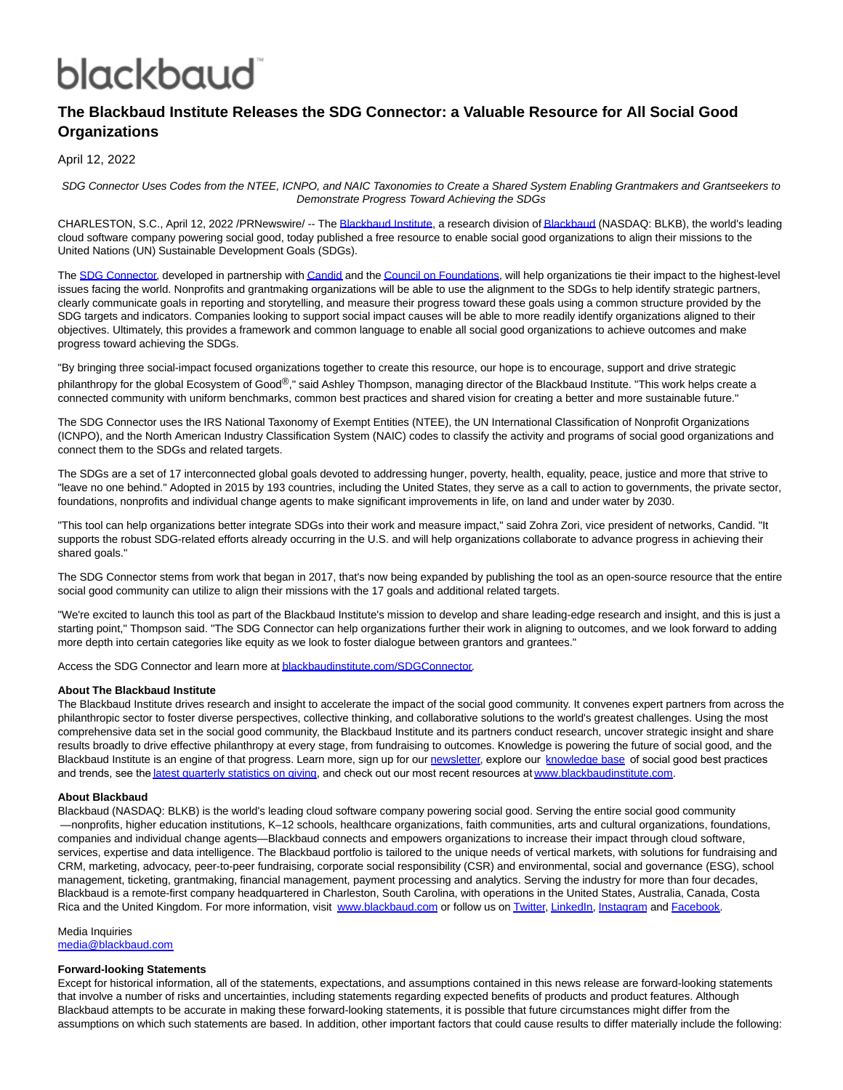## blackbaud<sup>®</sup>

### **The Blackbaud Institute Releases the SDG Connector: a Valuable Resource for All Social Good Organizations**

April 12, 2022

SDG Connector Uses Codes from the NTEE, ICNPO, and NAIC Taxonomies to Create a Shared System Enabling Grantmakers and Grantseekers to Demonstrate Progress Toward Achieving the SDGs

CHARLESTON, S.C., April 12, 2022 /PRNewswire/ -- The [Blackbaud Institute,](https://c212.net/c/link/?t=0&l=en&o=3503261-1&h=3872920937&u=https%3A%2F%2Finstitute.blackbaud.com%2F&a=Blackbaud+Institute) a research division o[f Blackbaud \(](https://c212.net/c/link/?t=0&l=en&o=3503261-1&h=1038296898&u=https%3A%2F%2Fwww.blackbaud.com%2F&a=Blackbaud)NASDAQ: BLKB), the world's leading cloud software company powering social good, today published a free resource to enable social good organizations to align their missions to the United Nations (UN) Sustainable Development Goals (SDGs).

The [SDG Connector,](https://c212.net/c/link/?t=0&l=en&o=3503261-1&h=234360419&u=http%3A%2F%2Fwww.blackbaudinstitute.com%2FSDGConnector&a=SDG+Connector) developed in partnership wit[h Candid a](https://c212.net/c/link/?t=0&l=en&o=3503261-1&h=1139245981&u=https%3A%2F%2Fcandid.org%2F&a=Candid)nd th[e Council on Foundations,](https://c212.net/c/link/?t=0&l=en&o=3503261-1&h=1896958870&u=http%3A%2F%2Fwww.cof.org%2F&a=Council+on+Foundations) will help organizations tie their impact to the highest-level issues facing the world. Nonprofits and grantmaking organizations will be able to use the alignment to the SDGs to help identify strategic partners, clearly communicate goals in reporting and storytelling, and measure their progress toward these goals using a common structure provided by the SDG targets and indicators. Companies looking to support social impact causes will be able to more readily identify organizations aligned to their objectives. Ultimately, this provides a framework and common language to enable all social good organizations to achieve outcomes and make progress toward achieving the SDGs.

"By bringing three social-impact focused organizations together to create this resource, our hope is to encourage, support and drive strategic philanthropy for the global Ecosystem of Good®," said Ashley Thompson, managing director of the Blackbaud Institute. "This work helps create a connected community with uniform benchmarks, common best practices and shared vision for creating a better and more sustainable future."

The SDG Connector uses the IRS National Taxonomy of Exempt Entities (NTEE), the UN International Classification of Nonprofit Organizations (ICNPO), and the North American Industry Classification System (NAIC) codes to classify the activity and programs of social good organizations and connect them to the SDGs and related targets.

The SDGs are a set of 17 interconnected global goals devoted to addressing hunger, poverty, health, equality, peace, justice and more that strive to "leave no one behind." Adopted in 2015 by 193 countries, including the United States, they serve as a call to action to governments, the private sector, foundations, nonprofits and individual change agents to make significant improvements in life, on land and under water by 2030.

"This tool can help organizations better integrate SDGs into their work and measure impact," said Zohra Zori, vice president of networks, Candid. "It supports the robust SDG-related efforts already occurring in the U.S. and will help organizations collaborate to advance progress in achieving their shared goals."

The SDG Connector stems from work that began in 2017, that's now being expanded by publishing the tool as an open-source resource that the entire social good community can utilize to align their missions with the 17 goals and additional related targets.

"We're excited to launch this tool as part of the Blackbaud Institute's mission to develop and share leading-edge research and insight, and this is just a starting point," Thompson said. "The SDG Connector can help organizations further their work in aligning to outcomes, and we look forward to adding more depth into certain categories like equity as we look to foster dialogue between grantors and grantees."

Access the SDG Connector and learn more at blackbaudinstitute.com/SDGConnector.

#### **About The Blackbaud Institute**

The Blackbaud Institute drives research and insight to accelerate the impact of the social good community. It convenes expert partners from across the philanthropic sector to foster diverse perspectives, collective thinking, and collaborative solutions to the world's greatest challenges. Using the most comprehensive data set in the social good community, the Blackbaud Institute and its partners conduct research, uncover strategic insight and share results broadly to drive effective philanthropy at every stage, from fundraising to outcomes. Knowledge is powering the future of social good, and the Blackbaud Institute is an engine of that progress. Learn more, sign up for our [newsletter](https://c212.net/c/link/?t=0&l=en&o=3503261-1&h=3690122779&u=https%3A%2F%2Finstitute.blackbaud.com%2Fnewsletter%2F&a=newsletter), explore our *[knowledge base](https://c212.net/c/link/?t=0&l=en&o=3503261-1&h=2287343216&u=https%3A%2F%2Finstitute.blackbaud.com%2Fexplorer%2F&a=knowledge+base)* of social good best practices and trends, see the [latest quarterly statistics on giving](https://c212.net/c/link/?t=0&l=en&o=3503261-1&h=1782010570&u=https%3A%2F%2Finstitute.blackbaud.com%2Fthe-blackbaud-institute-index%2F&a=latest+quarterly+statistics+on+giving), and check out our most recent resources at [www.blackbaudinstitute.com](https://c212.net/c/link/?t=0&l=en&o=3503261-1&h=1275462559&u=http%3A%2F%2Fwww.blackbaudinstitute.com%2F&a=www.blackbaudinstitute.com).

#### **About Blackbaud**

Blackbaud (NASDAQ: BLKB) is the world's leading cloud software company powering social good. Serving the entire social good community —nonprofits, higher education institutions, K–12 schools, healthcare organizations, faith communities, arts and cultural organizations, foundations, companies and individual change agents—Blackbaud connects and empowers organizations to increase their impact through cloud software, services, expertise and data intelligence. The Blackbaud portfolio is tailored to the unique needs of vertical markets, with solutions for fundraising and CRM, marketing, advocacy, peer-to-peer fundraising, corporate social responsibility (CSR) and environmental, social and governance (ESG), school management, ticketing, grantmaking, financial management, payment processing and analytics. Serving the industry for more than four decades, Blackbaud is a remote-first company headquartered in Charleston, South Carolina, with operations in the United States, Australia, Canada, Costa Rica and the United Kingdom. For more information, visit [www.blackbaud.com o](https://c212.net/c/link/?t=0&l=en&o=3503261-1&h=2413095223&u=http%3A%2F%2Fwww.blackbaud.com%2F&a=www.blackbaud.com)r follow us o[n Twitter,](https://c212.net/c/link/?t=0&l=en&o=3503261-1&h=2100902409&u=https%3A%2F%2Ftwitter.com%2Fblackbaud&a=Twitter) [LinkedIn,](https://c212.net/c/link/?t=0&l=en&o=3503261-1&h=186995308&u=https%3A%2F%2Fwww.linkedin.com%2Fcompany%2Fblackbaud%2F&a=LinkedIn) [Instagram a](https://c212.net/c/link/?t=0&l=en&o=3503261-1&h=2678475548&u=https%3A%2F%2Fwww.instagram.com%2Fblackbaud%2F&a=Instagram)nd [Facebook.](https://c212.net/c/link/?t=0&l=en&o=3503261-1&h=4219276996&u=https%3A%2F%2Fwww.facebook.com%2Fblackbaud%2F&a=Facebook)

Media Inquiries [media@blackbaud.com](mailto:media@blackbaud.com)

#### **Forward-looking Statements**

Except for historical information, all of the statements, expectations, and assumptions contained in this news release are forward-looking statements that involve a number of risks and uncertainties, including statements regarding expected benefits of products and product features. Although Blackbaud attempts to be accurate in making these forward-looking statements, it is possible that future circumstances might differ from the assumptions on which such statements are based. In addition, other important factors that could cause results to differ materially include the following: